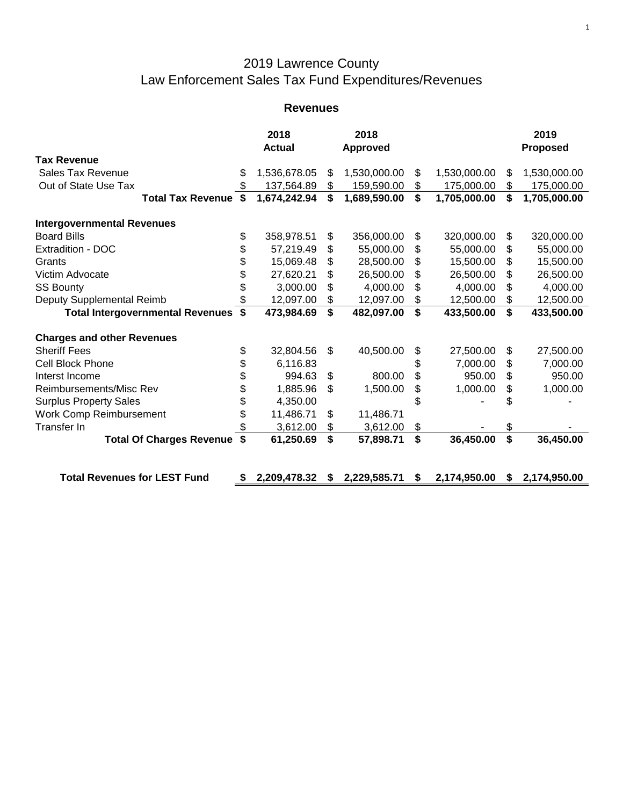## 2019 Lawrence County Law Enforcement Sales Tax Fund Expenditures/Revenues

## **Revenues**

|                                         |                           | 2018<br><b>Actual</b> |                | 2018<br><b>Approved</b> |    |              |    | 2019<br><b>Proposed</b> |
|-----------------------------------------|---------------------------|-----------------------|----------------|-------------------------|----|--------------|----|-------------------------|
| <b>Tax Revenue</b>                      |                           |                       |                |                         |    |              |    |                         |
| <b>Sales Tax Revenue</b>                | \$                        | 1,536,678.05          | \$             | 1,530,000.00            | \$ | 1,530,000.00 | \$ | 1,530,000.00            |
| Out of State Use Tax                    |                           | 137,564.89            | \$             | 159,590.00              | \$ | 175,000.00   | \$ | 175,000.00              |
| <b>Total Tax Revenue \$</b>             |                           | 1,674,242.94          | \$             | 1,689,590.00            | \$ | 1,705,000.00 | \$ | 1,705,000.00            |
| <b>Intergovernmental Revenues</b>       |                           |                       |                |                         |    |              |    |                         |
| <b>Board Bills</b>                      | \$                        | 358,978.51            | \$             | 356,000.00              | \$ | 320,000.00   | \$ | 320,000.00              |
| <b>Extradition - DOC</b>                | \$                        | 57,219.49             | \$             | 55,000.00               | \$ | 55,000.00    | \$ | 55,000.00               |
| Grants                                  | \$                        | 15,069.48             | \$             | 28,500.00               | \$ | 15,500.00    | \$ | 15,500.00               |
| Victim Advocate                         | \$                        | 27,620.21             | \$             | 26,500.00               | \$ | 26,500.00    | \$ | 26,500.00               |
| <b>SS Bounty</b>                        | \$                        | 3,000.00              | \$             | 4,000.00                | \$ | 4,000.00     | \$ | 4,000.00                |
| Deputy Supplemental Reimb               | \$                        | 12,097.00             | \$             | 12,097.00               | \$ | 12,500.00    | \$ | 12,500.00               |
| <b>Total Intergovernmental Revenues</b> | \$                        | 473,984.69            | \$             | 482,097.00              | \$ | 433,500.00   | \$ | 433,500.00              |
| <b>Charges and other Revenues</b>       |                           |                       |                |                         |    |              |    |                         |
| <b>Sheriff Fees</b>                     | \$                        | 32,804.56             | $\mathfrak{S}$ | 40,500.00               | \$ | 27,500.00    | \$ | 27,500.00               |
| <b>Cell Block Phone</b>                 | \$                        | 6,116.83              |                |                         | \$ | 7,000.00     | \$ | 7,000.00                |
| Interst Income                          | \$                        | 994.63                | \$             | 800.00                  | \$ | 950.00       | \$ | 950.00                  |
| Reimbursements/Misc Rev                 | \$                        | 1,885.96              | \$             | 1,500.00                | \$ | 1,000.00     | \$ | 1,000.00                |
| <b>Surplus Property Sales</b>           | \$                        | 4,350.00              |                |                         |    |              |    |                         |
| Work Comp Reimbursement                 | \$                        | 11,486.71             | \$             | 11,486.71               |    |              |    |                         |
| Transfer In                             |                           | 3,612.00              | \$             | 3,612.00                | \$ |              | \$ |                         |
| <b>Total Of Charges Revenue</b>         | $\boldsymbol{\mathsf{s}}$ | 61,250.69             | \$             | 57,898.71               | \$ | 36,450.00    | \$ | 36,450.00               |
| <b>Total Revenues for LEST Fund</b>     | S                         | 2,209,478.32          | S.             | 2,229,585.71            | S  | 2,174,950.00 | S  | 2,174,950.00            |